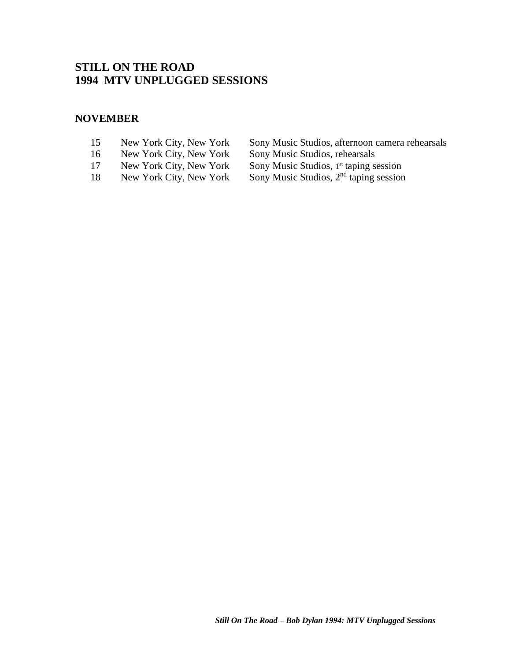# **STILL ON THE ROAD 1994 MTV UNPLUGGED SESSIONS**

### **NOVEMBER**

- 
- 16 [New York City, New York](#page-2-0) Sony Music Studios, rehearsals
- 17 [New York City, New York](#page-3-0)<br>18 New York City, New York
- 
- 15 [New York City, New York](#page-1-0) Sony Music Studios, afternoon camera rehearsals<br>16 New York City, New York Sony Music Studios, rehearsals
	-
	- st taping session
- 18 [New York City, New York](#page-4-0) Sony Music Studios, 2<sup>nd</sup> taping session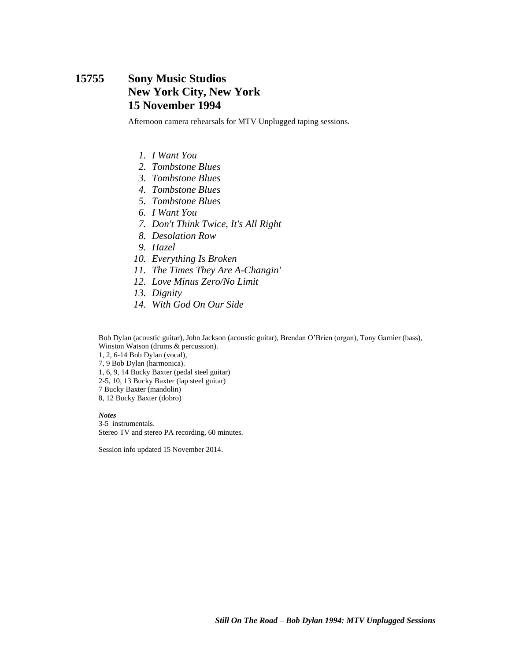## <span id="page-1-0"></span>**15755 Sony Music Studios New York City, New York 15 November 1994**

Afternoon camera rehearsals for MTV Unplugged taping sessions.

- *1. I Want You*
- *2. Tombstone Blues*
- *3. Tombstone Blues*
- *4. Tombstone Blues*
- *5. Tombstone Blues*
- *6. I Want You*
- *7. Don't Think Twice, It's All Right*
- *8. Desolation Row*
- *9. Hazel*
- *10. Everything Is Broken*
- *11. The Times They Are A-Changin'*
- *12. Love Minus Zero/No Limit*
- *13. Dignity*
- *14. With God On Our Side*

Bob Dylan (acoustic guitar), John Jackson (acoustic guitar), Brendan O'Brien (organ), Tony Garnier (bass), Winston Watson (drums & percussion).

1, 2, 6-14 Bob Dylan (vocal),

7, 9 Bob Dylan (harmonica).

1, 6, 9, 14 Bucky Baxter (pedal steel guitar)

2-5, 10, 13 Bucky Baxter (lap steel guitar)

7 Bucky Baxter (mandolin)

8, 12 Bucky Baxter (dobro)

*Notes* 3-5 instrumentals. Stereo TV and stereo PA recording, 60 minutes.

Session info updated 15 November 2014.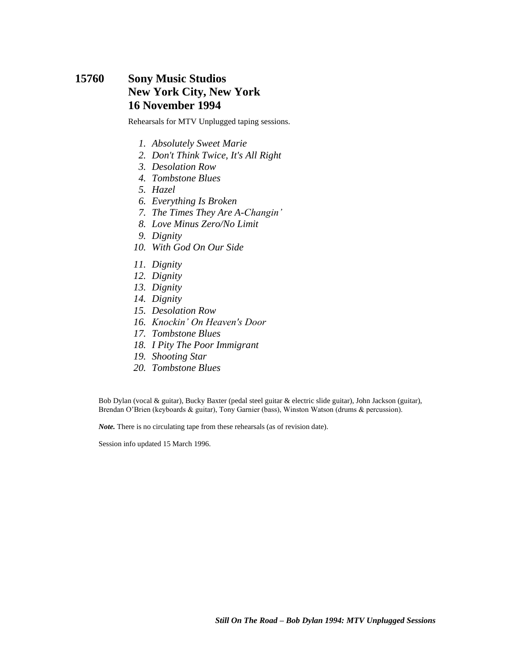## <span id="page-2-0"></span>**15760 Sony Music Studios New York City, New York 16 November 1994**

Rehearsals for MTV Unplugged taping sessions.

- *1. Absolutely Sweet Marie*
- *2. Don't Think Twice, It's All Right*
- *3. Desolation Row*
- *4. Tombstone Blues*
- *5. Hazel*
- *6. Everything Is Broken*
- *7. The Times They Are A-Changin'*
- *8. Love Minus Zero/No Limit*
- *9. Dignity*
- *10. With God On Our Side*
- *11. Dignity*
- *12. Dignity*
- *13. Dignity*
- *14. Dignity*
- *15. Desolation Row*
- *16. Knockin' On Heaven's Door*
- *17. Tombstone Blues*
- *18. I Pity The Poor Immigrant*
- *19. Shooting Star*
- *20. Tombstone Blues*

Bob Dylan (vocal & guitar), Bucky Baxter (pedal steel guitar & electric slide guitar), John Jackson (guitar), Brendan O'Brien (keyboards & guitar), Tony Garnier (bass), Winston Watson (drums & percussion).

*Note.* There is no circulating tape from these rehearsals (as of revision date).

Session info updated 15 March 1996.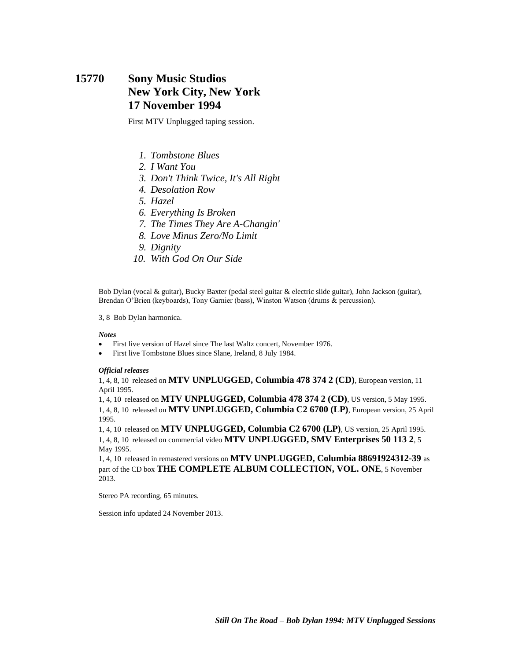## <span id="page-3-0"></span>**15770 Sony Music Studios New York City, New York 17 November 1994**

First MTV Unplugged taping session.

- *1. Tombstone Blues*
- *2. I Want You*
- *3. Don't Think Twice, It's All Right*
- *4. Desolation Row*
- *5. Hazel*
- *6. Everything Is Broken*
- *7. The Times They Are A-Changin'*
- *8. Love Minus Zero/No Limit*
- *9. Dignity*
- *10. With God On Our Side*

Bob Dylan (vocal & guitar), Bucky Baxter (pedal steel guitar & electric slide guitar), John Jackson (guitar), Brendan O'Brien (keyboards), Tony Garnier (bass), Winston Watson (drums & percussion).

3, 8 Bob Dylan harmonica.

#### *Notes*

- First live version of Hazel since The last Waltz concert, November 1976.
- First live Tombstone Blues since Slane, Ireland, 8 July 1984.

#### *Official releases*

1, 4, 8, 10 released on **MTV UNPLUGGED, Columbia 478 374 2 (CD)**, European version, 11 April 1995.

1, 4, 10 released on **MTV UNPLUGGED, Columbia 478 374 2 (CD)**, US version, 5 May 1995. 1, 4, 8, 10 released on **MTV UNPLUGGED, Columbia C2 6700 (LP)**, European version, 25 April 1995.

1, 4, 10 released on **MTV UNPLUGGED, Columbia C2 6700 (LP)**, US version, 25 April 1995. 1, 4, 8, 10 released on commercial video **MTV UNPLUGGED, SMV Enterprises 50 113 2**, 5 May 1995.

1, 4, 10 released in remastered versions on **MTV UNPLUGGED, Columbia 88691924312-39** as part of the CD box **THE COMPLETE ALBUM COLLECTION, VOL. ONE**, 5 November 2013.

Stereo PA recording, 65 minutes.

Session info updated 24 November 2013.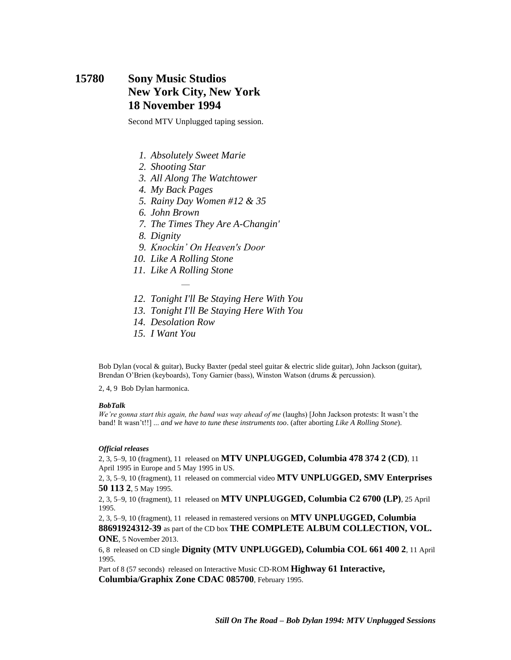## <span id="page-4-0"></span>**15780 Sony Music Studios New York City, New York 18 November 1994**

Second MTV Unplugged taping session.

- *1. Absolutely Sweet Marie*
- *2. Shooting Star*
- *3. All Along The Watchtower*
- *4. My Back Pages*
- *5. Rainy Day Women #12 & 35*
- *6. John Brown*
- *7. The Times They Are A-Changin'*
- *8. Dignity*
- *9. Knockin' On Heaven's Door*
- *10. Like A Rolling Stone*
- *11. Like A Rolling Stone* —
- *12. Tonight I'll Be Staying Here With You*
- *13. Tonight I'll Be Staying Here With You*
- *14. Desolation Row*
- *15. I Want You*

Bob Dylan (vocal & guitar), Bucky Baxter (pedal steel guitar & electric slide guitar), John Jackson (guitar), Brendan O'Brien (keyboards), Tony Garnier (bass), Winston Watson (drums & percussion).

2, 4, 9 Bob Dylan harmonica.

#### *BobTalk*

*We're gonna start this again, the band was way ahead of me* (laughs) [John Jackson protests: It wasn't the band! It wasn't!!] ... *and we have to tune these instruments too*. (after aborting *Like A Rolling Stone*).

#### *Official releases*

2, 3, 5–9, 10 (fragment), 11 released on **MTV UNPLUGGED, Columbia 478 374 2 (CD)**, 11 April 1995 in Europe and 5 May 1995 in US.

2, 3, 5–9, 10 (fragment), 11 released on commercial video **MTV UNPLUGGED, SMV Enterprises 50 113 2**, 5 May 1995.

2, 3, 5–9, 10 (fragment), 11 released on **MTV UNPLUGGED, Columbia C2 6700 (LP)**, 25 April 1995.

2, 3, 5–9, 10 (fragment), 11 released in remastered versions on **MTV UNPLUGGED, Columbia 88691924312-39** as part of the CD box **THE COMPLETE ALBUM COLLECTION, VOL.** 

**ONE**, 5 November 2013.

6, 8 released on CD single **Dignity (MTV UNPLUGGED), Columbia COL 661 400 2**, 11 April 1995.

Part of 8 (57 seconds) released on Interactive Music CD-ROM **Highway 61 Interactive, Columbia/Graphix Zone CDAC 085700**, February 1995.